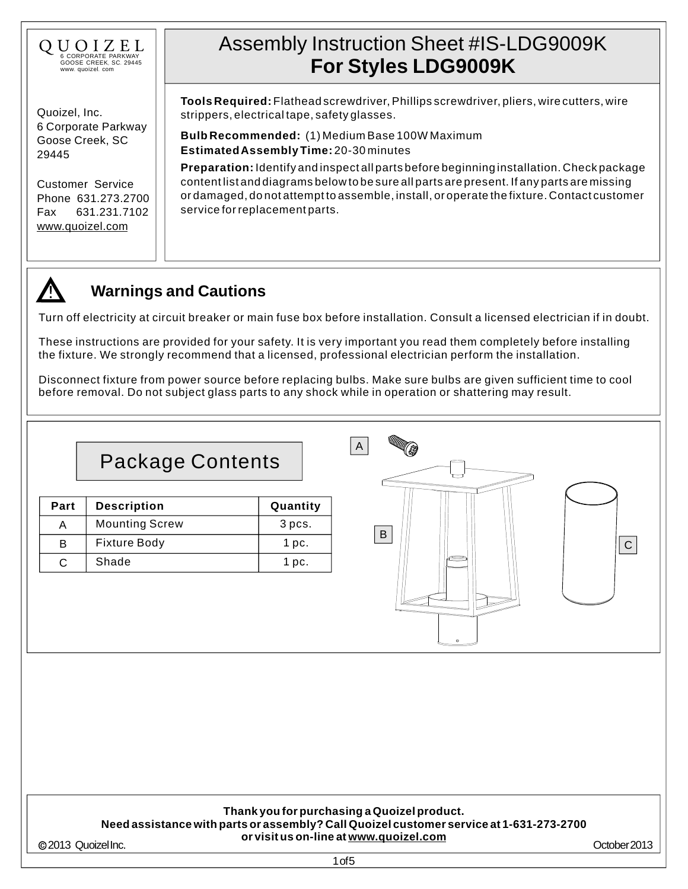

Quoizel, Inc. 6 Corporate Parkway Goose Creek, SC 29445

Customer Service Phone 631.273.2700 Fax 631.231.7102 [www.quoizel.com](http://www.quoizel.com)

# Assembly Instruction Sheet #IS-LDG9009K **For Styles LDG9009K**

**Tools Required:** Flathead screwdriver, Phillips screwdriver, pliers, wire cutters, wire strippers, electrical tape, safety glasses.

**EstimatedAssembly Time:** 20-30 minutes **Bulb Recommended:** (1) Medium Base 100W Maximum

**Preparation:** Identify and inspect all parts before beginning installation. Check package content list and diagrams below to be sure all parts are present. If any parts are missing or damaged, do not attempt to assemble, install, or operate the fixture. Contact customer service for replacement parts.



### **Warnings and Cautions**

Turn off electricity at circuit breaker or main fuse box before installation. Consult a licensed electrician if in doubt.

These instructions are provided for your safety. It is very important you read them completely before installing the fixture. We strongly recommend that a licensed, professional electrician perform the installation.

Disconnect fixture from power source before replacing bulbs. Make sure bulbs are given sufficient time to cool before removal. Do not subject glass parts to any shock while in operation or shattering may result.

## Package Contents

| Part | <b>Description</b>    | Quantity |
|------|-----------------------|----------|
|      | <b>Mounting Screw</b> | 3 pcs.   |
| B    | <b>Fixture Body</b>   | 1 pc.    |
| C.   | Shade                 | 1 pc.    |



#### **Thank you for purchasing a Quoizel product. Need assistance with parts or assembly? Call Quoizel customer service at 1-631-273-2700 or visit us on-line at [www.quoizel.com](http://www.quoizel.com)**

2013 QuoizelInc.

1of5

October2013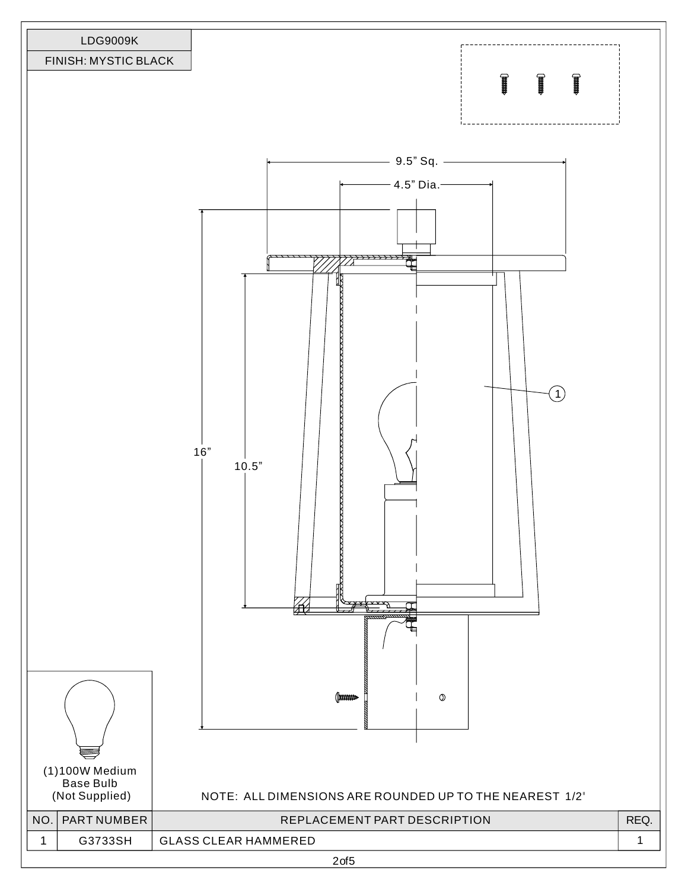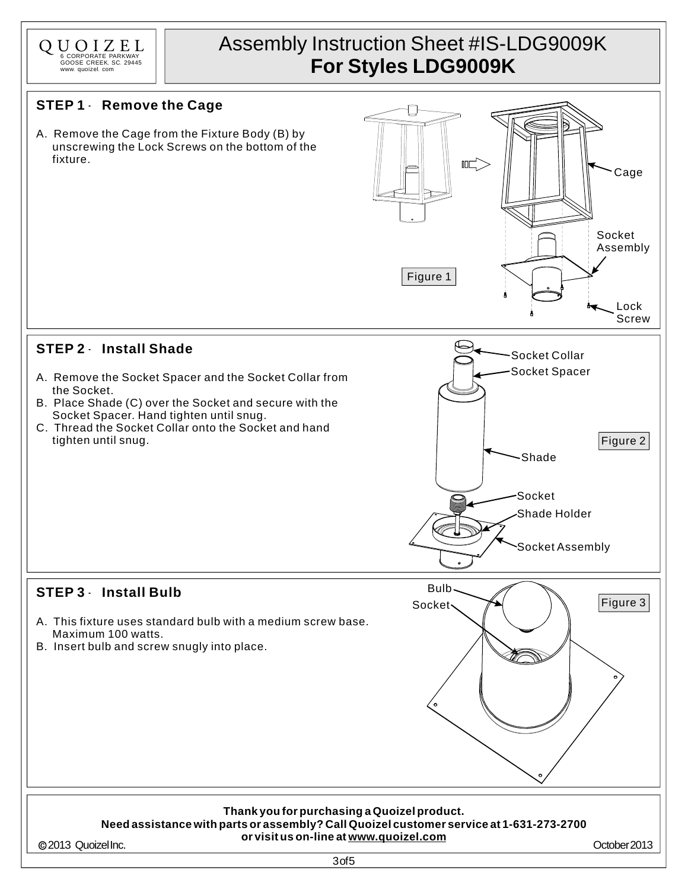

## Assembly Instruction Sheet #IS-LDG9009K **For Styles LDG9009K**

### **STEP 1** - **Remove the Cage**

A. Remove the Cage from the Fixture Body (B) by unscrewing the Lock Screws on the bottom of the fixture.



### **STEP 2** - **Install Shade**

- A. Remove the Socket Spacer and the Socket Collar from the Socket.
- B. Place Shade (C) over the Socket and secure with the Socket Spacer. Hand tighten until snug.
- C. Thread the Socket Collar onto the Socket and hand tighten until snug.



Bulb Socket

### **STEP 3** - **Install Bulb**

- A. This fixture uses standard bulb with a medium screw base. Maximum 100 watts.
- B. Insert bulb and screw snugly into place.

#### **Thank you for purchasing a Quoizel product. Need assistance with parts or assembly? Call Quoizel customer service at 1-631-273-2700 or visit us on-line at [www.quoizel.com](http://www.quoizel.com)**

2013 QuoizelInc.

October2013

Figure 3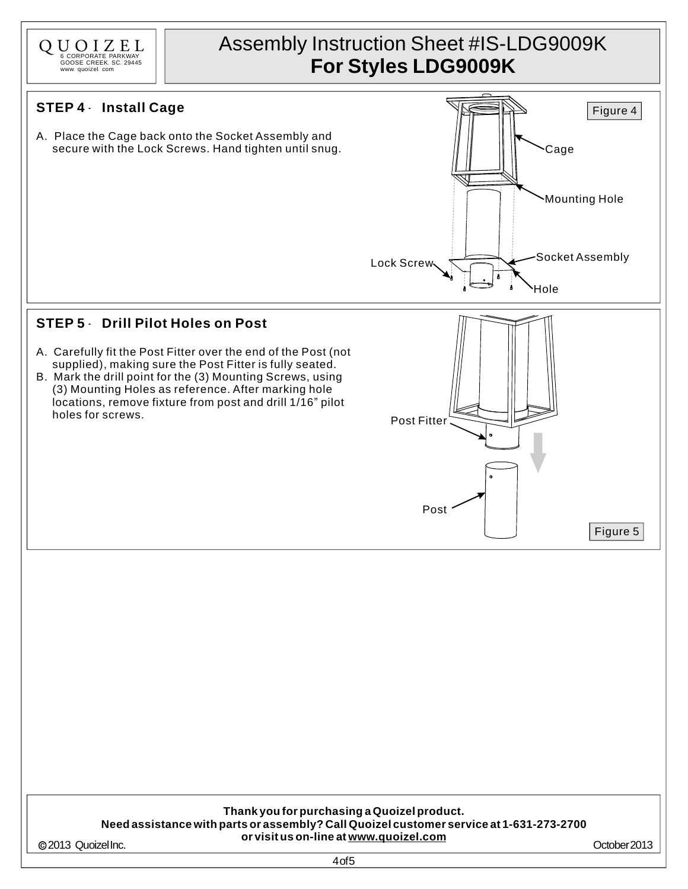

2013 QuoizelInc.

4of5

October2013